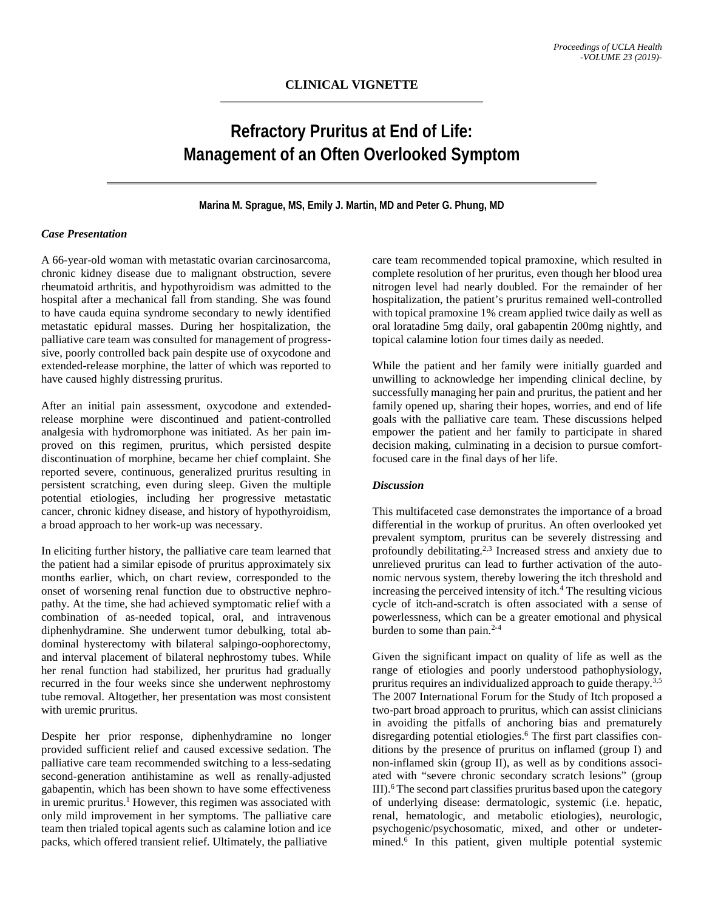# **Refractory Pruritus at End of Life: Management of an Often Overlooked Symptom**

### **Marina M. Sprague, MS, Emily J. Martin, MD and Peter G. Phung, MD**

## *Case Presentation*

A 66-year-old woman with metastatic ovarian carcinosarcoma, chronic kidney disease due to malignant obstruction, severe rheumatoid arthritis, and hypothyroidism was admitted to the hospital after a mechanical fall from standing. She was found to have cauda equina syndrome secondary to newly identified metastatic epidural masses. During her hospitalization, the palliative care team was consulted for management of progresssive, poorly controlled back pain despite use of oxycodone and extended-release morphine, the latter of which was reported to have caused highly distressing pruritus.

After an initial pain assessment, oxycodone and extendedrelease morphine were discontinued and patient-controlled analgesia with hydromorphone was initiated. As her pain improved on this regimen, pruritus, which persisted despite discontinuation of morphine, became her chief complaint. She reported severe, continuous, generalized pruritus resulting in persistent scratching, even during sleep. Given the multiple potential etiologies, including her progressive metastatic cancer, chronic kidney disease, and history of hypothyroidism, a broad approach to her work-up was necessary.

In eliciting further history, the palliative care team learned that the patient had a similar episode of pruritus approximately six months earlier, which, on chart review, corresponded to the onset of worsening renal function due to obstructive nephropathy. At the time, she had achieved symptomatic relief with a combination of as-needed topical, oral, and intravenous diphenhydramine. She underwent tumor debulking, total abdominal hysterectomy with bilateral salpingo-oophorectomy, and interval placement of bilateral nephrostomy tubes. While her renal function had stabilized, her pruritus had gradually recurred in the four weeks since she underwent nephrostomy tube removal. Altogether, her presentation was most consistent with uremic pruritus.

Despite her prior response, diphenhydramine no longer provided sufficient relief and caused excessive sedation. The palliative care team recommended switching to a less-sedating second-generation antihistamine as well as renally-adjusted gabapentin, which has been shown to have some effectiveness in uremic pruritus. <sup>1</sup> However, this regimen was associated with only mild improvement in her symptoms. The palliative care team then trialed topical agents such as calamine lotion and ice packs, which offered transient relief. Ultimately, the palliative

care team recommended topical pramoxine, which resulted in complete resolution of her pruritus, even though her blood urea nitrogen level had nearly doubled. For the remainder of her hospitalization, the patient's pruritus remained well-controlled with topical pramoxine 1% cream applied twice daily as well as oral loratadine 5mg daily, oral gabapentin 200mg nightly, and topical calamine lotion four times daily as needed.

While the patient and her family were initially guarded and unwilling to acknowledge her impending clinical decline, by successfully managing her pain and pruritus, the patient and her family opened up, sharing their hopes, worries, and end of life goals with the palliative care team. These discussions helped empower the patient and her family to participate in shared decision making, culminating in a decision to pursue comfortfocused care in the final days of her life.

## *Discussion*

This multifaceted case demonstrates the importance of a broad differential in the workup of pruritus. An often overlooked yet prevalent symptom, pruritus can be severely distressing and profoundly debilitating. 2,3 Increased stress and anxiety due to unrelieved pruritus can lead to further activation of the autonomic nervous system, thereby lowering the itch threshold and increasing the perceived intensity of itch. <sup>4</sup> The resulting vicious cycle of itch-and-scratch is often associated with a sense of powerlessness, which can be a greater emotional and physical burden to some than pain. 2-4

Given the significant impact on quality of life as well as the range of etiologies and poorly understood pathophysiology, pruritus requires an individualized approach to guide therapy.<sup>3,5</sup> The 2007 International Forum for the Study of Itch proposed a two-part broad approach to pruritus, which can assist clinicians in avoiding the pitfalls of anchoring bias and prematurely disregarding potential etiologies. <sup>6</sup> The first part classifies conditions by the presence of pruritus on inflamed (group I) and non-inflamed skin (group II), as well as by conditions associated with "severe chronic secondary scratch lesions" (group III). <sup>6</sup> The second part classifies pruritus based upon the category of underlying disease: dermatologic, systemic (i.e. hepatic, renal, hematologic, and metabolic etiologies), neurologic, psychogenic/psychosomatic, mixed, and other or undetermined. <sup>6</sup> In this patient, given multiple potential systemic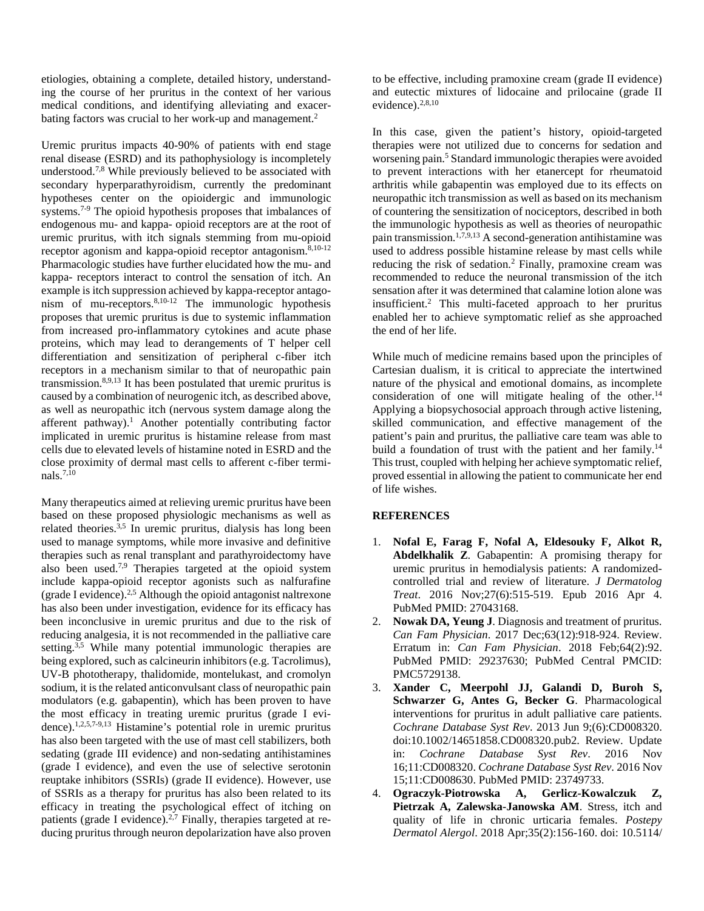etiologies, obtaining a complete, detailed history, understanding the course of her pruritus in the context of her various medical conditions, and identifying alleviating and exacerbating factors was crucial to her work-up and management.<sup>2</sup>

Uremic pruritus impacts 40-90% of patients with end stage renal disease (ESRD) and its pathophysiology is incompletely understood.<sup>7,8</sup> While previously believed to be associated with secondary hyperparathyroidism, currently the predominant hypotheses center on the opioidergic and immunologic systems.<sup>7-9</sup> The opioid hypothesis proposes that imbalances of endogenous mu- and kappa- opioid receptors are at the root of uremic pruritus, with itch signals stemming from mu-opioid receptor agonism and kappa-opioid receptor antagonism.<sup>8,10-12</sup> Pharmacologic studies have further elucidated how the mu- and kappa- receptors interact to control the sensation of itch. An example is itch suppression achieved by kappa-receptor antagonism of mu-receptors. 8,10-12 The immunologic hypothesis proposes that uremic pruritus is due to systemic inflammation from increased pro-inflammatory cytokines and acute phase proteins, which may lead to derangements of T helper cell differentiation and sensitization of peripheral c-fiber itch receptors in a mechanism similar to that of neuropathic pain transmission.<sup>8,9,13</sup> It has been postulated that uremic pruritus is caused by a combination of neurogenic itch, as described above, as well as neuropathic itch (nervous system damage along the afferent pathway).<sup>1</sup> Another potentially contributing factor implicated in uremic pruritus is histamine release from mast cells due to elevated levels of histamine noted in ESRD and the close proximity of dermal mast cells to afferent c-fiber terminals. 7,10

Many therapeutics aimed at relieving uremic pruritus have been based on these proposed physiologic mechanisms as well as related theories.<sup>3,5</sup> In uremic pruritus, dialysis has long been used to manage symptoms, while more invasive and definitive therapies such as renal transplant and parathyroidectomy have also been used.<sup>7,9</sup> Therapies targeted at the opioid system include kappa-opioid receptor agonists such as nalfurafine (grade I evidence).2,5 Although the opioid antagonist naltrexone has also been under investigation, evidence for its efficacy has been inconclusive in uremic pruritus and due to the risk of reducing analgesia, it is not recommended in the palliative care setting.<sup>3,5</sup> While many potential immunologic therapies are being explored, such as calcineurin inhibitors (e.g. Tacrolimus), UV-B phototherapy, thalidomide, montelukast, and cromolyn sodium, it is the related anticonvulsant class of neuropathic pain modulators (e.g. gabapentin), which has been proven to have the most efficacy in treating uremic pruritus (grade I evidence). 1,2,5,7-9,13 Histamine's potential role in uremic pruritus has also been targeted with the use of mast cell stabilizers, both sedating (grade III evidence) and non-sedating antihistamines (grade I evidence), and even the use of selective serotonin reuptake inhibitors (SSRIs) (grade II evidence). However, use of SSRIs as a therapy for pruritus has also been related to its efficacy in treating the psychological effect of itching on patients (grade I evidence).<sup>2,7</sup> Finally, therapies targeted at reducing pruritus through neuron depolarization have also proven

to be effective, including pramoxine cream (grade II evidence) and eutectic mixtures of lidocaine and prilocaine (grade II evidence).<sup>2,8,10</sup>

In this case, given the patient's history, opioid-targeted therapies were not utilized due to concerns for sedation and worsening pain. 5 Standard immunologic therapies were avoided to prevent interactions with her etanercept for rheumatoid arthritis while gabapentin was employed due to its effects on neuropathic itch transmission as well as based on its mechanism of countering the sensitization of nociceptors, described in both the immunologic hypothesis as well as theories of neuropathic pain transmission.<sup>1,7,9,13</sup> A second-generation antihistamine was used to address possible histamine release by mast cells while reducing the risk of sedation. <sup>2</sup> Finally, pramoxine cream was recommended to reduce the neuronal transmission of the itch sensation after it was determined that calamine lotion alone was insufficient.2 This multi-faceted approach to her pruritus enabled her to achieve symptomatic relief as she approached the end of her life.

While much of medicine remains based upon the principles of Cartesian dualism, it is critical to appreciate the intertwined nature of the physical and emotional domains, as incomplete consideration of one will mitigate healing of the other.<sup>14</sup> Applying a biopsychosocial approach through active listening, skilled communication, and effective management of the patient's pain and pruritus, the palliative care team was able to build a foundation of trust with the patient and her family.<sup>14</sup> This trust, coupled with helping her achieve symptomatic relief, proved essential in allowing the patient to communicate her end of life wishes.

## **REFERENCES**

- 1. **Nofal E, Farag F, Nofal A, Eldesouky F, Alkot R, Abdelkhalik Z**. Gabapentin: A promising therapy for uremic pruritus in hemodialysis patients: A randomizedcontrolled trial and review of literature. *J Dermatolog Treat*. 2016 Nov;27(6):515-519. Epub 2016 Apr 4. PubMed PMID: 27043168.
- 2. **Nowak DA, Yeung J**. Diagnosis and treatment of pruritus. *Can Fam Physician*. 2017 Dec;63(12):918-924. Review. Erratum in: *Can Fam Physician*. 2018 Feb;64(2):92. PubMed PMID: 29237630; PubMed Central PMCID: PMC5729138.
- 3. **Xander C, Meerpohl JJ, Galandi D, Buroh S, Schwarzer G, Antes G, Becker G**. Pharmacological interventions for pruritus in adult palliative care patients. *Cochrane Database Syst Rev*. 2013 Jun 9;(6):CD008320. doi:10.1002/14651858.CD008320.pub2. Review. Update in: *Cochrane Database Syst Rev*. 2016 Nov 16;11:CD008320. *Cochrane Database Syst Rev*. 2016 Nov 15;11:CD008630. PubMed PMID: 23749733.
- 4. **Ograczyk-Piotrowska A, Gerlicz-Kowalczuk Z, Pietrzak A, Zalewska-Janowska AM**. Stress, itch and quality of life in chronic urticaria females. *Postepy Dermatol Alergol*. 2018 Apr;35(2):156-160. doi: 10.5114/